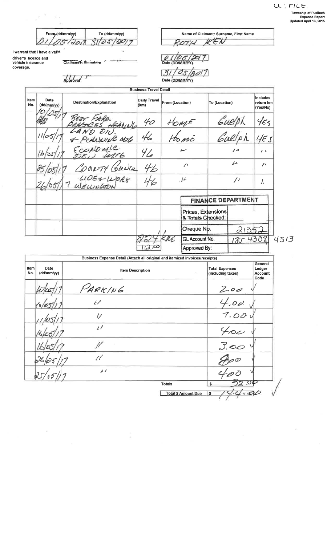÷

From (dd/mm/yy) To (dd/mm/yy) 01/05/2011 31/05/2017

Claimant's Sinnature

I warrant that I have a valid driver's licence and<br>vehicle insurance<br>coverage.

ÎГ.

 $\mathcal{H}$  $\sim 9\%$ 

 $\tilde{\chi}$ 

Ä.

 $\bar{b}$ 

Approval

ROTH

Name of Claimant: Surname, First Name

KEN

|             |                    |                                | <b>Business Travel Detail</b> |                            |                                         |                           |      |                                   |      |
|-------------|--------------------|--------------------------------|-------------------------------|----------------------------|-----------------------------------------|---------------------------|------|-----------------------------------|------|
| Item<br>No. | Date<br>(dd/mm/yy) | <b>Destination/Explanation</b> | <b>Daily Travel</b><br>(km)   | From (Location)            |                                         | To (Location)             |      | Includes<br>return km<br>(Yes/No) |      |
|             |                    | BEST FARM<br>HEALING           | 40                            | HOME                       |                                         |                           |      | 455                               |      |
|             | 11/05              |                                | 46                            | Homó                       |                                         | Guelph<br>Guelph          |      | 45                                |      |
|             |                    | & PLANNING Mile                | 42                            |                            |                                         | $\sqrt{2}$                |      | $\mathbf{r}$                      |      |
|             |                    |                                |                               | $\frac{1}{2}$<br>$l^{\mu}$ |                                         | $\mu$<br>$\frac{1}{2}$    |      | $\prime$                          |      |
|             |                    | CORNTY GUNUL<br>LIDE& WORK     |                               |                            |                                         |                           |      | J.                                |      |
|             |                    |                                |                               |                            |                                         | <b>FINANCE DEPARTMENT</b> |      |                                   |      |
|             |                    |                                |                               |                            | Prices, Extensions<br>& Totals Checked: |                           |      |                                   |      |
|             |                    |                                |                               |                            | Cheque No.                              |                           | 213. |                                   |      |
|             |                    |                                |                               | GL Account No.             |                                         |                           |      | 4308                              | 4313 |
|             |                    |                                |                               |                            | Approved By:                            |                           |      |                                   |      |

| Item | Date       | Business Expense Detail (Attach all original and itemized invoices/receipts)<br><b>Item Description</b> | <b>General</b><br><b>Total Expenses</b><br>Ledger |
|------|------------|---------------------------------------------------------------------------------------------------------|---------------------------------------------------|
| No.  | (dd/mm/yy) |                                                                                                         | (including taxes)<br>Account<br>Code              |
|      |            | PARKING                                                                                                 |                                                   |
|      |            | $t\mathcal{I}$                                                                                          | $\frac{2.00}{4.00}$                               |
|      |            | $\iota$                                                                                                 | 7.00                                              |
|      |            | $\ell$                                                                                                  |                                                   |
|      |            |                                                                                                         | $\frac{4\infty}{3.00}$                            |
|      |            | Û                                                                                                       |                                                   |
|      |            | $\overline{\mathcal{L}}$                                                                                |                                                   |
|      |            | <b>Totals</b>                                                                                           |                                                   |
|      |            | <b>Total \$ Amount Due</b>                                                                              | s                                                 |

 $\frac{\pi}{2}$